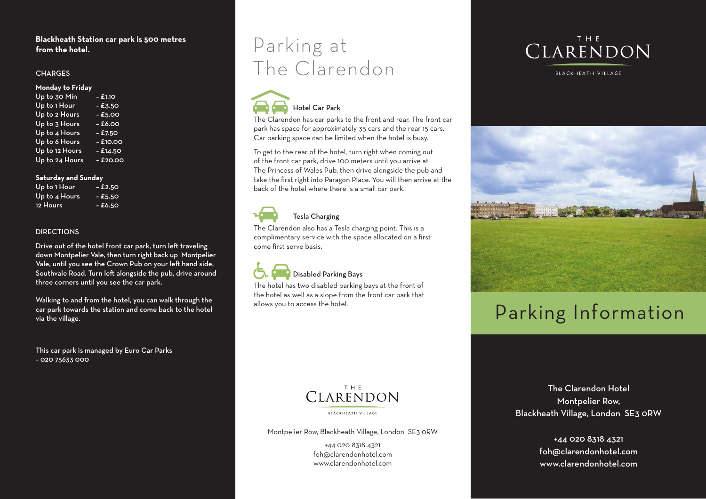#### **Blackheath Station car park is 500 metres from the hotel.**

#### **CHARGES**

#### **Monday to Friday**

| Up to 30 Min   | $-$ £1.10  |
|----------------|------------|
| Up to 1 Hour   | $-$ £3.50  |
| Up to 2 Hours  | $-£5.00$   |
| Up to 3 Hours  | $-6.00$    |
| Up to 4 Hours  | $-$ £7.50  |
| Up to 6 Hours  | $-$ £10.00 |
| Up to 12 Hours | $-$ £14.50 |
| Up to 24 Hours | $-$ £20.00 |

#### **Saturday and Sunday and Sunday Parking Information**

| Up to 1 Hour  | $-$ £2.50 |  |
|---------------|-----------|--|
| Up to 4 Hours | $-$ £5.50 |  |
| 12 Hours      | - £6.50   |  |
|               |           |  |

### **3 HOURECTIONS**

Drive out of the hotel front car park, turn left traveling down Montpelier Vale, then turn right back up Montpelier Vale, until you see the Crown Pub on your left hand side, Southvale Road. Turn left alongside the pub, drive around three corners until you see the car park.

Walking to and from the hotel, you can walk through the **Weekend & Bank Holiday** car park towards the station and come back to the hotel **30 Min** - 50p via the village.

This car park is managed by Euro Car Parks – 020 75633 000

## Parking at The Clarendon



The Clarendon has car parks to the front and rear. The front car park has space for approximately 35 cars and the rear 15 cars. Car parking space can be limited when the hotel is busy.

To get to the rear of the hotel, turn right when coming out of the front car park, drive 100 meters until you arrive at The Princess of Wales Pub, then drive alongside the pub and – take the first right into Paragon Place. You will then arrive at the back of the hotel where there is a small car park.

#### **Figure 1** All Saints Drive (road that goes around the church of  $\mathbb{R}$ **Locations of bays –**

**The Clarendon also has a Tesla charging point. This is a** complimentary service with the space allocated on a first come first serve basis.

## Disabled Parking Bays **Disabled Parking Bays**

The hotel has two disabled parking bays at the front of the connection was seen the front of the front of the front of the front of the front of the front of the front of the front of the front of the front of the front of the hotel as well as a slope from the front car park that the hotel as well as a slope from the front car park that allows you to access the hotel. allows you to access the hotel.



BLACKHEATH VILLAGE



## $\mathbf{B}$  Blackheath Village Village Village Village Village Village Village Village Village Village Village Village Village Village Village Village Village Village Village Village Village Village Village Village Village V **Parking Information** Parking Information



**BLACKHEATH VILLAGE** 

Montpelier Row, Blackheath Village, London SE3 0RW

+44 020 8318 4321 foh@clarendonhotel.com www.clarendonhotel.com

The Clarendon Hotel Montpelier Row, Blackheath Village, London SE3 0RW

> +44 020 8318 4321 foh@clarendonhotel.com www.clarendonhotel.com

Pub